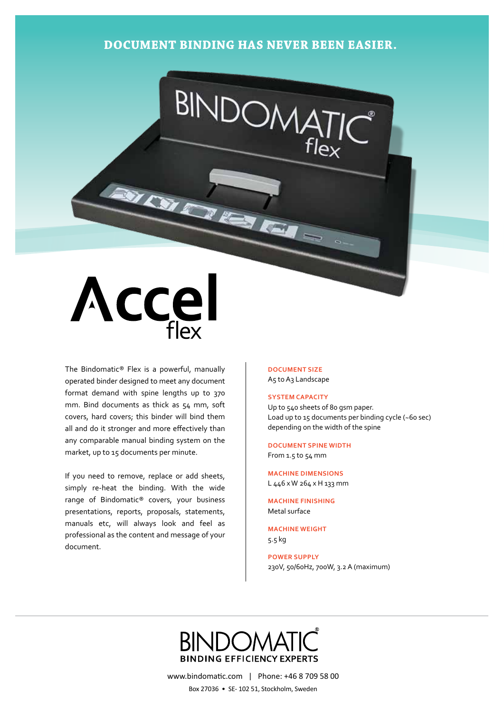## **Document binding has never been easier.**

BINDOM

## Accel

The Bindomatic® Flex is a powerful, manually operated binder designed to meet any document format demand with spine lengths up to 370 mm. Bind documents as thick as 54 mm, soft covers, hard covers; this binder will bind them all and do it stronger and more effectively than any comparable manual binding system on the market, up to 15 documents per minute.

If you need to remove, replace or add sheets, simply re-heat the binding. With the wide range of Bindomatic® covers, your business presentations, reports, proposals, statements, manuals etc, will always look and feel as professional as the content and message of your document.

**Document size** A5 to A3 Landscape

## **System Capacity**

Up to 540 sheets of 80 gsm paper. Load up to 15 documents per binding cycle (~60 sec) depending on the width of the spine

**Document Spine width** From 1.5 to 54 mm

**Machine Dimensions** L 446 x W 264 x H 133 mm

**Machine Finishing** Metal surface

**Machine Weight** 5.5 kg

**Power Supply** 230V, 50/60Hz, 700W, 3.2 A (maximum)

## **BINDING EFFICIENCY EXPERTS**

www.bindomatic.com | Phone: +46 8 709 58 00 Box 27036 • SE- 102 51, Stockholm, Sweden